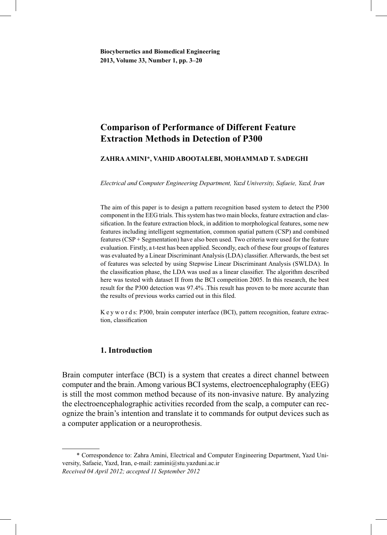# **Comparison of Performance of Different Feature Extraction Methods in Detection of P300**

## **ZAHRA AMINI**\***, VAHID ABOOTALEBI, MOHAMMAD T. SADEGHI**

*Electrical and Computer Engineering Department, Yazd University, Safaeie, Yazd, Iran*

The aim of this paper is to design a pattern recognition based system to detect the P300 component in the EEG trials. This system has two main blocks, feature extraction and classification. In the feature extraction block, in addition to morphological features, some new features including intelligent segmentation, common spatial pattern (CSP) and combined features (CSP + Segmentation) have also been used. Two criteria were used for the feature evaluation. Firstly, a t-test has been applied. Secondly, each of these four groups of features was evaluated by a Linear Discriminant Analysis (LDA) classifier. Afterwards, the best set of features was selected by using Stepwise Linear Discriminant Analysis (SWLDA). In the classification phase, the LDA was used as a linear classifier. The algorithm described here was tested with dataset II from the BCI competition 2005. In this research, the best result for the P300 detection was 97.4% .This result has proven to be more accurate than the results of previous works carried out in this filed.

K e y w o r d s: P300, brain computer interface (BCI), pattern recognition, feature extraction, classification

# **1. Introduction**

Brain computer interface (BCI) is a system that creates a direct channel between computer and the brain. Among various BCI systems, electroencephalography (EEG) is still the most common method because of its non-invasive nature. By analyzing the electroencephalographic activities recorded from the scalp, a computer can recognize the brain's intention and translate it to commands for output devices such as a computer application or a neuroprothesis.

 <sup>\*</sup> Correspondence to: Zahra Amini, Electrical and Computer Engineering Department, Yazd University, Safaeie, Yazd, Iran, e-mail: zamini@stu.yazduni.ac.ir *Received 04 April 2012; accepted 11 September 2012*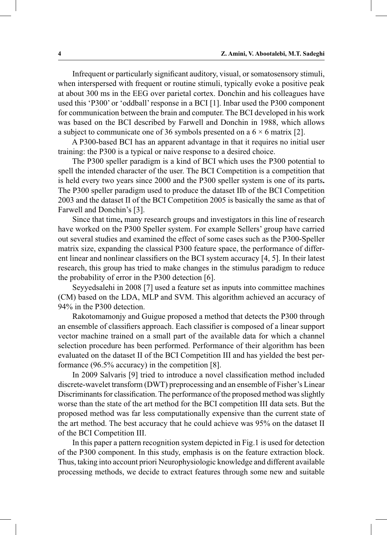Infrequent or particularly significant auditory, visual, or somatosensory stimuli, when interspersed with frequent or routine stimuli, typically evoke a positive peak at about 300 ms in the EEG over parietal cortex. Donchin and his colleagues have used this 'P300' or 'oddball' response in a BCI [1]. Inbar used the P300 component for communication between the brain and computer. The BCI developed in his work was based on the BCI described by Farwell and Donchin in 1988, which allows a subject to communicate one of 36 symbols presented on a  $6 \times 6$  matrix [2].

 A P300-based BCI has an apparent advantage in that it requires no initial user training: the P300 is a typical or naive response to a desired choice.

 The P300 speller paradigm is a kind of BCI which uses the P300 potential to spell the intended character of the user. The BCI Competition is a competition that is held every two years since 2000 and the P300 speller system is one of its parts**.** The P300 speller paradigm used to produce the dataset IIb of the BCI Competition 2003 and the dataset II of the BCI Competition 2005 is basically the same as that of Farwell and Donchin's [3].

 Since that time**,** many research groups and investigators in this line of research have worked on the P300 Speller system. For example Sellers' group have carried out several studies and examined the effect of some cases such as the P300-Speller matrix size, expanding the classical P300 feature space, the performance of different linear and nonlinear classifiers on the BCI system accuracy [4, 5]. In their latest research, this group has tried to make changes in the stimulus paradigm to reduce the probability of error in the P300 detection [6].

 Seyyedsalehi in 2008 [7] used a feature set as inputs into committee machines (CM) based on the LDA, MLP and SVM. This algorithm achieved an accuracy of 94% in the P300 detection.

 Rakotomamonjy and Guigue proposed a method that detects the P300 through an ensemble of classifiers approach. Each classifier is composed of a linear support vector machine trained on a small part of the available data for which a channel selection procedure has been performed. Performance of their algorithm has been evaluated on the dataset II of the BCI Competition III and has yielded the best performance (96.5% accuracy) in the competition [8].

 In 2009 Salvaris [9] tried to introduce a novel classification method included discrete-wavelet transform (DWT) preprocessing and an ensemble of Fisher's Linear Discriminants for classification. The performance of the proposed method was slightly worse than the state of the art method for the BCI competition III data sets. But the proposed method was far less computationally expensive than the current state of the art method. The best accuracy that he could achieve was 95% on the dataset II of the BCI Competition III.

 In this paper a pattern recognition system depicted in Fig.1 is used for detection of the P300 component. In this study, emphasis is on the feature extraction block. Thus, taking into account priori Neurophysiologic knowledge and different available processing methods, we decide to extract features through some new and suitable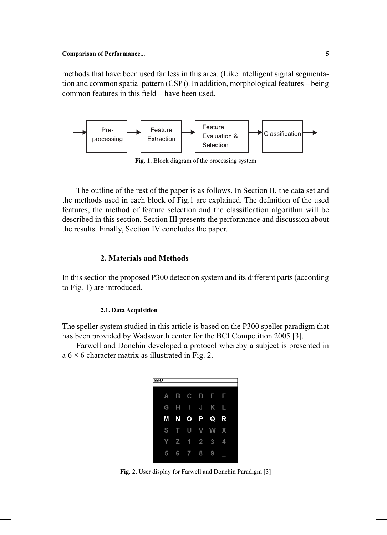methods that have been used far less in this area. (Like intelligent signal segmentation and common spatial pattern (CSP)). In addition, morphological features – being common features in this field – have been used.



**Fig. 1.** Block diagram of the processing system

 The outline of the rest of the paper is as follows. In Section II, the data set and the methods used in each block of Fig.1 are explained. The definition of the used features, the method of feature selection and the classification algorithm will be described in this section. Section III presents the performance and discussion about the results. Finally, Section IV concludes the paper.

# **2. Materials and Methods**

In this section the proposed P300 detection system and its different parts (according to Fig. 1) are introduced.

#### **2.1. Data Acquisition**

The speller system studied in this article is based on the P300 speller paradigm that has been provided by Wadsworth center for the BCI Competition 2005 [3].

 Farwell and Donchin developed a protocol whereby a subject is presented in a  $6 \times 6$  character matrix as illustrated in Fig. 2.

| <b>SEND</b> |                         |           |                |   |   |  |
|-------------|-------------------------|-----------|----------------|---|---|--|
| А           | B                       | C         | D              | F | F |  |
| G           |                         | I         | I              | κ | l |  |
| М           | $\overline{\mathbf{N}}$ | $\bullet$ | $\blacksquare$ | Q | R |  |
| S           |                         | U         |                |   | X |  |
|             | Z                       |           | $\overline{2}$ | 3 | 4 |  |
|             | հ                       |           | 8              | 9 |   |  |

**Fig. 2.** User display for Farwell and Donchin Paradigm [3]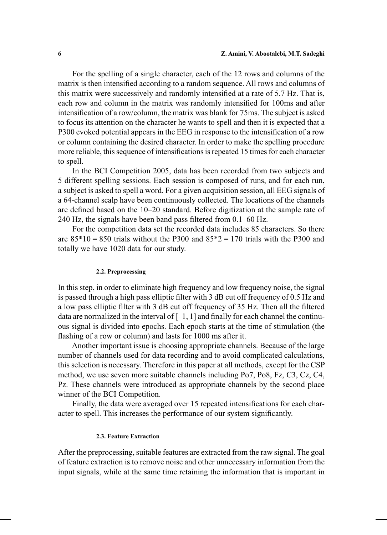For the spelling of a single character, each of the 12 rows and columns of the matrix is then intensified according to a random sequence. All rows and columns of this matrix were successively and randomly intensified at a rate of 5.7 Hz. That is, each row and column in the matrix was randomly intensified for 100ms and after intensification of a row/column, the matrix was blank for 75ms. The subject is asked to focus its attention on the character he wants to spell and then it is expected that a P300 evoked potential appears in the EEG in response to the intensification of a row or column containing the desired character. In order to make the spelling procedure more reliable, this sequence of intensifications is repeated 15 times for each character to spell.

 In the BCI Competition 2005, data has been recorded from two subjects and 5 different spelling sessions. Each session is composed of runs, and for each run, a subject is asked to spell a word. For a given acquisition session, all EEG signals of a 64-channel scalp have been continuously collected. The locations of the channels are defined based on the 10–20 standard. Before digitization at the sample rate of 240 Hz, the signals have been band pass filtered from 0.1–60 Hz.

 For the competition data set the recorded data includes 85 characters. So there are  $85*10 = 850$  trials without the P300 and  $85*2 = 170$  trials with the P300 and totally we have 1020 data for our study.

#### **2.2. Preprocessing**

In this step, in order to eliminate high frequency and low frequency noise, the signal is passed through a high pass elliptic filter with 3 dB cut off frequency of 0.5 Hz and a low pass elliptic filter with 3 dB cut off frequency of 35 Hz. Then all the filtered data are normalized in the interval of  $[-1, 1]$  and finally for each channel the continuous signal is divided into epochs. Each epoch starts at the time of stimulation (the flashing of a row or column) and lasts for 1000 ms after it.

 Another important issue is choosing appropriate channels. Because of the large number of channels used for data recording and to avoid complicated calculations, this selection is necessary. Therefore in this paper at all methods, except for the CSP method, we use seven more suitable channels including Po7, Po8, Fz, C3, Cz, C4, Pz. These channels were introduced as appropriate channels by the second place winner of the BCI Competition.

 Finally, the data were averaged over 15 repeated intensifications for each character to spell. This increases the performance of our system significantly.

## **2.3. Feature Extraction**

After the preprocessing, suitable features are extracted from the raw signal. The goal of feature extraction is to remove noise and other unnecessary information from the input signals, while at the same time retaining the information that is important in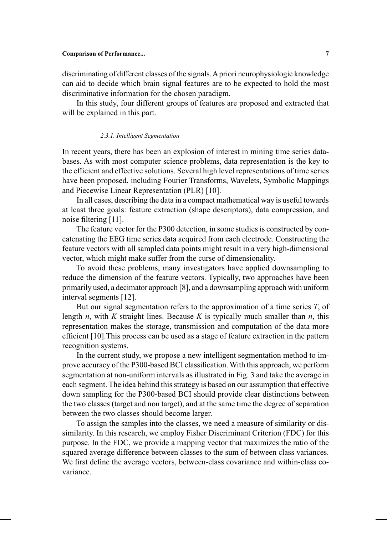discriminating of different classes of the signals. A priori neurophysiologic knowledge can aid to decide which brain signal features are to be expected to hold the most discriminative information for the chosen paradigm.

 In this study, four different groups of features are proposed and extracted that will be explained in this part.

#### *2.3.1. Intelligent Segmentation*

In recent years, there has been an explosion of interest in mining time series databases. As with most computer science problems, data representation is the key to the efficient and effective solutions. Several high level representations of time series have been proposed, including Fourier Transforms, Wavelets, Symbolic Mappings and Piecewise Linear Representation (PLR) [10].

 In all cases, describing the data in a compact mathematical way is useful towards at least three goals: feature extraction (shape descriptors), data compression, and noise filtering [11].

 The feature vector for the P300 detection, in some studies is constructed by concatenating the EEG time series data acquired from each electrode. Constructing the feature vectors with all sampled data points might result in a very high-dimensional vector, which might make suffer from the curse of dimensionality.

 To avoid these problems, many investigators have applied downsampling to reduce the dimension of the feature vectors. Typically, two approaches have been primarily used, a decimator approach [8], and a downsampling approach with uniform interval segments [12].

 But our signal segmentation refers to the approximation of a time series *T*, of length *n*, with *K* straight lines. Because *K* is typically much smaller than *n*, this representation makes the storage, transmission and computation of the data more efficient [10].This process can be used as a stage of feature extraction in the pattern recognition systems.

 In the current study, we propose a new intelligent segmentation method to improve accuracy of the P300-based BCI classification. With this approach, we perform segmentation at non-uniform intervals as illustrated in Fig. 3 and take the average in each segment. The idea behind this strategy is based on our assumption that effective down sampling for the P300-based BCI should provide clear distinctions between the two classes (target and non target), and at the same time the degree of separation between the two classes should become larger.

 To assign the samples into the classes, we need a measure of similarity or dissimilarity. In this research, we employ Fisher Discriminant Criterion (FDC) for this purpose. In the FDC, we provide a mapping vector that maximizes the ratio of the squared average difference between classes to the sum of between class variances. We first define the average vectors, between-class covariance and within-class covariance.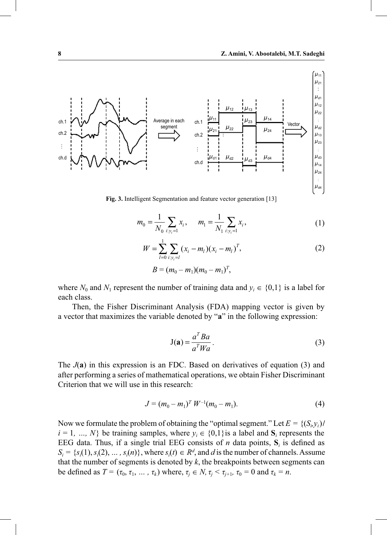

**Fig. 3.** Intelligent Segmentation and feature vector generation [13]

$$
m_0 = \frac{1}{N_0} \sum_{i: y_i = 1} x_i, \qquad m_1 = \frac{1}{N_1} \sum_{i: y_i = 1} x_i,
$$
 (1)

$$
W = \sum_{l=0}^{1} \sum_{i: y_i = l} (x_i - m_l)(x_i - m_l)^T,
$$
 (2)

$$
B = (m_0 - m_1)(m_0 - m_1)^T,
$$

where  $N_0$  and  $N_1$  represent the number of training data and  $y_i \in \{0,1\}$  is a label for each class.

 Then, the Fisher Discriminant Analysis (FDA) mapping vector is given by a vector that maximizes the variable denoted by "**a**" in the following expression:

$$
J(a) = \frac{a^T Ba}{a^T Wa}.
$$
 (3)

The *J*(**a**) in this expression is an FDC. Based on derivatives of equation (3) and after performing a series of mathematical operations, we obtain Fisher Discriminant Criterion that we will use in this research:

$$
J = (m_0 - m_1)^T W^{-1} (m_0 - m_1).
$$
 (4)

Now we formulate the problem of obtaining the "optimal segment." Let  $E = \{(S_i, y_i) \mid i \in I\}$  $i = 1, ..., N$ } be training samples, where  $y_i \in \{0,1\}$  is a label and  $S_i$  represents the EEG data. Thus, if a single trial EEG consists of *n* data points,  $S_i$  is defined as  $S_i = \{s_i(1), s_i(2), \dots, s_i(n)\}\$ , where  $s_i(t) \in R^d$ , and *d* is the number of channels. Assume that the number of segments is denoted by *k*, the breakpoints between segments can be defined as  $T = (\tau_0, \tau_1, \dots, \tau_k)$  where,  $\tau_j \in N$ ,  $\tau_j < \tau_{j+1}$ ,  $\tau_0 = 0$  and  $\tau_k = n$ .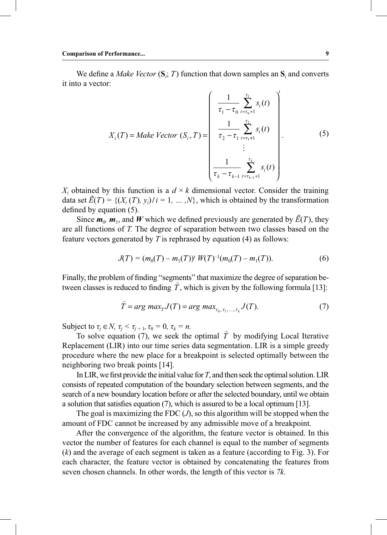We define a *Make Vector*  $(S_i; T)$  function that down samples an  $S_i$  and converts it into a vector:

$$
X_{i}(T) = Make \; Vector \; (S_{i}, T) = \begin{pmatrix} \frac{1}{\tau_{1} - \tau_{0}} \sum_{t = \tau_{0} + 1}^{\tau_{1}} s_{i}(t) \\ \frac{1}{\tau_{2} - \tau_{1}} \sum_{t = \tau_{1} + 1}^{\tau_{2}} s_{i}(t) \\ \vdots \\ \frac{1}{\tau_{k} - \tau_{k-1}} \sum_{t = \tau_{k-1} + 1}^{\tau_{k}} s_{i}(t) \end{pmatrix} . \tag{5}
$$

 $X_i$  obtained by this function is a  $d \times k$  dimensional vector. Consider the training data set  $\hat{E}(T) = \{(X_i(T), y_i)/i = 1, ..., N\}$ , which is obtained by the transformation defined by equation (5).

Since  $m_0$ ,  $m_1$ , and *W* which we defined previously are generated by  $\tilde{E}(T)$ , they are all functions of *T.* The degree of separation between two classes based on the feature vectors generated by *T* is rephrased by equation (4) as follows:

$$
J(T) = (m_0(T) - m_1(T))^t W(T)^{-1} (m_0(T) - m_1(T)).
$$
\n(6)

Finally, the problem of finding "segments" that maximize the degree of separation be- $\overline{T}$  hany, the problem of miding segments that maximize the degree of separation between classes is reduced to finding  $\hat{T}$ , which is given by the following formula [13]:

$$
\widehat{T} = arg \ max_{T} J(T) = arg \ max_{\tau_0, \tau_1, \dots, \tau_k} J(T). \tag{7}
$$

Subject to  $\tau_j \in N$ ,  $\tau_j < \tau_{j+1}$ ,  $\tau_0 = 0$ ,  $\tau_k = n$ .

Subject to  $t_j \in N$ ,  $t_j > t_{j+1}$ ,  $t_0 = 0$ ,  $t_k = n$ .<br>To solve equation (7), we seek the optimal  $\hat{T}$  by modifying Local Iterative Replacement (LIR) into our time series data segmentation. LIR is a simple greedy procedure where the new place for a breakpoint is selected optimally between the neighboring two break points [14].

 In LIR, we first provide the initial value for *T*, and then seek the optimal solution. LIR consists of repeated computation of the boundary selection between segments, and the search of a new boundary location before or after the selected boundary, until we obtain a solution that satisfies equation (7), which is assured to be a local optimum [13].

The goal is maximizing the FDC  $(J)$ , so this algorithm will be stopped when the amount of FDC cannot be increased by any admissible move of a breakpoint.

 After the convergence of the algorithm, the feature vector is obtained. In this vector the number of features for each channel is equal to the number of segments (*k*) and the average of each segment is taken as a feature (according to Fig. 3). For each character, the feature vector is obtained by concatenating the features from seven chosen channels. In other words, the length of this vector is *7k*.

*t*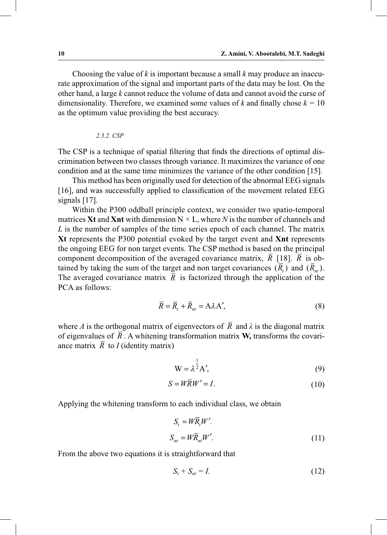Choosing the value of *k* is important because a small *k* may produce an inaccurate approximation of the signal and important parts of the data may be lost. On the other hand, a large *k* cannot reduce the volume of data and cannot avoid the curse of dimensionality. Therefore, we examined some values of  $k$  and finally chose  $k = 10$ as the optimum value providing the best accuracy.

*2.3.2. CSP*

The CSP is a technique of spatial filtering that finds the directions of optimal discrimination between two classes through variance. It maximizes the variance of one condition and at the same time minimizes the variance of the other condition [15].

 This method has been originally used for detection of the abnormal EEG signals [16], and was successfully applied to classification of the movement related EEG signals [17].

 Within the P300 oddball principle context, we consider two spatio-temporal matrices **Xt** and **Xnt** with dimension  $N \times L$ , where *N* is the number of channels and *L* is the number of samples of the time series epoch of each channel. The matrix **Xt** represents the P300 potential evoked by the target event and **Xnt** represents the ongoing EEG for non target events. The CSP method is based on the principal component decomposition of the averaged covariance matrix,  $\overline{R}$  [18].  $\overline{R}$  is obtained by taking the sum of the target and non target covariances  $(\overline{R}_{\scriptscriptstyle{H}})$  and  $(\overline{R}_{\scriptscriptstyle{nt}})$ . The averaged covariance matrix  $\overline{R}$  is factorized through the application of the PCA as follows:

$$
\overline{R} = \overline{R}_t + \overline{R}_{nt} = A\lambda A',\tag{8}
$$

where *A* is the orthogonal matrix of eigenvectors of  $\overline{R}$  and  $\lambda$  is the diagonal matrix of eigenvalues of  $\overline{R}$ . A whitening transformation matrix **W**, transforms the covariance matrix  $\overline{R}$  to *I* (identity matrix)

$$
W = \lambda^{\frac{1}{2}} A',
$$
 (9)

$$
S = W\overline{R}W' = I.
$$
\n<sup>(10)</sup>

Applying the whitening transform to each individual class, we obtain

$$
S_t = W\overline{R}_t W'.
$$
  

$$
S_{nt} = W\overline{R}_{nt}W'.
$$
 (11)

From the above two equations it is straightforward that

$$
S_t + S_{nt} = I. \tag{12}
$$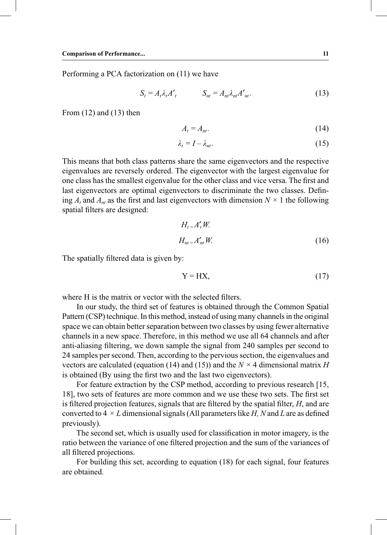Performing a PCA factorization on (11) we have

$$
S_t = A_t \lambda_t A_t' \qquad S_{nt} = A_{nt} \lambda_{nt} A_{nt}'.
$$
 (13)

From  $(12)$  and  $(13)$  then

$$
A_t = A_{nt}.\tag{14}
$$

$$
\lambda_t = I - \lambda_{nt}.\tag{15}
$$

This means that both class patterns share the same eigenvectors and the respective eigenvalues are reversely ordered. The eigenvector with the largest eigenvalue for one class has the smallest eigenvalue for the other class and vice versa. The first and last eigenvectors are optimal eigenvectors to discriminate the two classes. Defining  $A_t$  and  $A_{nt}$  as the first and last eigenvectors with dimension  $N \times 1$  the following spatial filters are designed:

$$
H_{t} = A'_{t}W.
$$
  

$$
H_{nt} = A'_{nt}W.
$$
 (16)

The spatially filtered data is given by:

$$
Y = HX,\t(17)
$$

where H is the matrix or vector with the selected filters.

 In our study, the third set of features is obtained through the Common Spatial Pattern (CSP) technique. In this method, instead of using many channels in the original space we can obtain better separation between two classes by using fewer alternative channels in a new space. Therefore, in this method we use all 64 channels and after anti-aliasing filtering, we down sample the signal from 240 samples per second to 24 samples per second. Then, according to the pervious section, the eigenvalues and vectors are calculated (equation (14) and (15)) and the  $N \times 4$  dimensional matrix *H* is obtained (By using the first two and the last two eigenvectors).

 For feature extraction by the CSP method, according to previous research [15, 18], two sets of features are more common and we use these two sets. The first set is filtered projection features, signals that are filtered by the spatial filter, *H*, and are converted to  $4 \times L$  dimensional signals (All parameters like *H*, N and L are as defined previously).

 The second set, which is usually used for classification in motor imagery, is the ratio between the variance of one filtered projection and the sum of the variances of all filtered projections.

 For building this set, according to equation (18) for each signal, four features are obtained.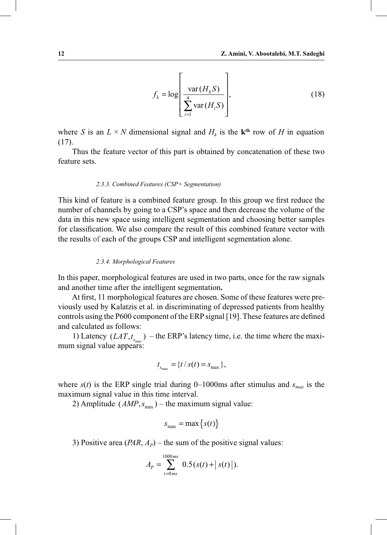$$
f_k = \log \left| \frac{\text{var}(H_k S)}{\sum_{i=1}^4 \text{var}(H_i S)} \right|,
$$
\n(18)

where *S* is an  $L \times N$  dimensional signal and  $H_k$  is the **k**<sup>th</sup> row of *H* in equation (17).

 Thus the feature vector of this part is obtained by concatenation of these two feature sets.

#### *2.3.3. Combined Features (CSP+ Segmentation)*

This kind of feature is a combined feature group. In this group we first reduce the number of channels by going to a CSP's space and then decrease the volume of the data in this new space using intelligent segmentation and choosing better samples for classification. We also compare the result of this combined feature vector with the results of each of the groups CSP and intelligent segmentation alone.

#### *2.3.4. Morphological Features*

In this paper, morphological features are used in two parts, once for the raw signals and another time after the intelligent segmentation**.** 

 At first, 11 morphological features are chosen. Some of these features were previously used by Kalatzis et al. in discriminating of depressed patients from healthy controls using the P600 component of the ERP signal [19]. These features are defined and calculated as follows:

1) Latency  $(LAT, t_{s_{\text{max}}})$  – the ERP's latency time, i.e. the time where the maximum signal value appears:

$$
t_{s_{\max}} = \{t / s(t) = s_{\max}\},\
$$

where  $s(t)$  is the ERP single trial during 0–1000ms after stimulus and  $s_{max}$  is the maximum signal value in this time interval.

2) Amplitude  $(AMP, s<sub>max</sub>)$  – the maximum signal value:

$$
s_{\max} = \max\left\{s(t)\right\}
$$

3) Positive area  $(PAR, A<sub>P</sub>)$  – the sum of the positive signal values:

$$
A_{P} = \sum_{t=0}^{1000ms} 0.5(s(t) + |s(t)|).
$$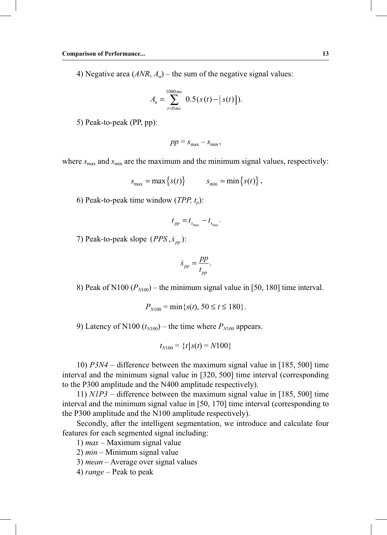4) Negative area  $(ANR, A_n)$  – the sum of the negative signal values:

$$
A_n = \sum_{t=0\,ms}^{1000\,ms} 0.5 (s(t) - |s(t)|).
$$

5) Peak-to-peak (PP, pp):

$$
pp = s_{\max} - s_{\min},
$$

where  $s_{\text{max}}$  and  $s_{\text{min}}$  are the maximum and the minimum signal values, respectively:

$$
s_{\max} = \max\left\{s(t)\right\} \qquad \quad s_{\min} = \min\left\{s(t)\right\},
$$

6) Peak-to-peak time window (*TPP*,  $t<sub>n</sub>$ ):

$$
t_{pp} = t_{s_{\text{max}}} - t_{s_{\text{min}}}.
$$

7) Peak-to-peak slope  $(PPS, \dot{s}_m)$ :

$$
\dot{s}_{pp} = \frac{pp}{t_{pp}}.
$$

8) Peak of N100  $(P_{M100})$  – the minimum signal value in [50, 180] time interval.

$$
P_{N100} = \min\{s(t), 50 \le t \le 180\}.
$$

9) Latency of N100  $(t_{N100})$  – the time where  $P_{N100}$  appears.

$$
t_{N100} = \{t | s(t) = N100\}
$$

 10) *P3N4* – difference between the maximum signal value in [185, 500] time interval and the minimum signal value in [320, 500] time interval (corresponding to the P300 amplitude and the N400 amplitude respectively).

 11) *N1P3* – difference between the maximum signal value in [185, 500] time interval and the minimum signal value in [50, 170] time interval (corresponding to the P300 amplitude and the N100 amplitude respectively).

 Secondly, after the intelligent segmentation, we introduce and calculate four features for each segmented signal including:

1) *max* – Maximum signal value

2) *min* – Minimum signal value

3) *mean* – Average over signal values

4) *range* – Peak to peak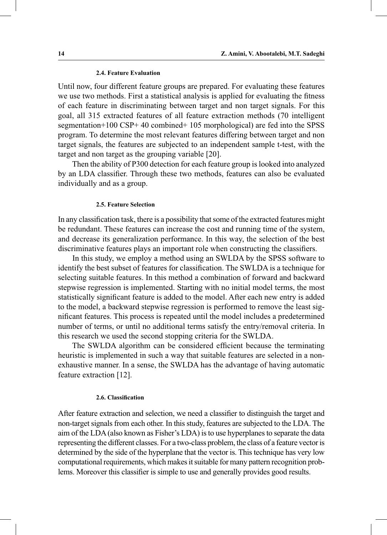#### **2.4. Feature Evaluation**

Until now, four different feature groups are prepared. For evaluating these features we use two methods. First a statistical analysis is applied for evaluating the fitness of each feature in discriminating between target and non target signals. For this goal, all 315 extracted features of all feature extraction methods (70 intelligent segmentation+100 CSP+ 40 combined+ 105 morphological) are fed into the SPSS program. To determine the most relevant features differing between target and non target signals, the features are subjected to an independent sample t-test, with the target and non target as the grouping variable [20].

 Then the ability of P300 detection for each feature group is looked into analyzed by an LDA classifier. Through these two methods, features can also be evaluated individually and as a group.

#### **2.5. Feature Selection**

In any classification task, there is a possibility that some of the extracted features might be redundant. These features can increase the cost and running time of the system, and decrease its generalization performance. In this way, the selection of the best discriminative features plays an important role when constructing the classifiers.

 In this study, we employ a method using an SWLDA by the SPSS software to identify the best subset of features for classification. The SWLDA is a technique for selecting suitable features. In this method a combination of forward and backward stepwise regression is implemented. Starting with no initial model terms, the most statistically significant feature is added to the model. After each new entry is added to the model, a backward stepwise regression is performed to remove the least significant features. This process is repeated until the model includes a predetermined number of terms, or until no additional terms satisfy the entry/removal criteria. In this research we used the second stopping criteria for the SWLDA.

 The SWLDA algorithm can be considered efficient because the terminating heuristic is implemented in such a way that suitable features are selected in a nonexhaustive manner. In a sense, the SWLDA has the advantage of having automatic feature extraction [12].

#### **2.6. Classification**

After feature extraction and selection, we need a classifier to distinguish the target and non-target signals from each other. In this study, features are subjected to the LDA. The aim of the LDA (also known as Fisher's LDA) is to use hyperplanes to separate the data representing the different classes. For a two-class problem, the class of a feature vector is determined by the side of the hyperplane that the vector is. This technique has very low computational requirements, which makes it suitable for many pattern recognition problems. Moreover this classifier is simple to use and generally provides good results.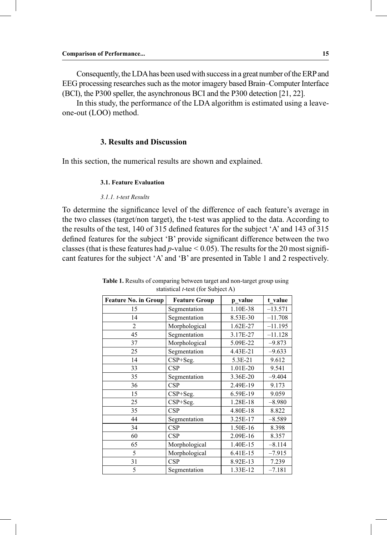Consequently, the LDA has been used with success in a great number of the ERP and EEG processing researches such as the motor imagery based Brain–Computer Interface (BCI), the P300 speller, the asynchronous BCI and the P300 detection [21, 22].

 In this study, the performance of the LDA algorithm is estimated using a leaveone-out (LOO) method.

# **3. Results and Discussion**

In this section, the numerical results are shown and explained.

#### **3.1. Feature Evaluation**

#### *3.1.1. t-test Results*

To determine the significance level of the difference of each feature's average in the two classes (target/non target), the t-test was applied to the data. According to the results of the test, 140 of 315 defined features for the subject 'A' and 143 of 315 defined features for the subject 'B' provide significant difference between the two classes (that is these features had *p*-value < 0.05). The results for the 20 most significant features for the subject 'A' and 'B' are presented in Table 1 and 2 respectively.

| <b>Feature No. in Group</b> | <b>Feature Group</b> | p value  | t_value   |
|-----------------------------|----------------------|----------|-----------|
| 15                          | Segmentation         | 1.10E-38 | $-13.571$ |
| 14                          | Segmentation         | 8.53E-30 | $-11.708$ |
| 2                           | Morphological        | 1.62E-27 | $-11.195$ |
| 45                          | Segmentation         | 3.17E-27 | $-11.128$ |
| 37                          | Morphological        | 5.09E-22 | $-9.873$  |
| 25                          | Segmentation         | 4.43E-21 | $-9.633$  |
| 14                          | $CSP + Seg.$         | 5.3E-21  | 9.612     |
| 33                          | CSP                  | 1.01E-20 | 9.541     |
| 35                          | Segmentation         | 3.36E-20 | $-9.404$  |
| 36                          | CSP                  | 2.49E-19 | 9.173     |
| 15                          | CSP+Seg.             | 6.59E-19 | 9.059     |
| 25                          | $CSP + Seg.$         | 1.28E-18 | $-8.980$  |
| 35                          | CSP                  | 4.80E-18 | 8.822     |
| 44                          | Segmentation         | 3.25E-17 | $-8.589$  |
| 34                          | CSP                  | 1.50E-16 | 8.398     |
| 60                          | CSP                  | 2.09E-16 | 8.357     |
| 65                          | Morphological        | 1.40E-15 | $-8.114$  |
| 5                           | Morphological        | 6.41E-15 | $-7.915$  |
| 31                          | CSP                  | 8.92E-13 | 7.239     |
| 5                           | Segmentation         | 1.33E-12 | $-7.181$  |

| <b>Table 1.</b> Results of comparing between target and non-target group using |  |
|--------------------------------------------------------------------------------|--|
| statistical $t$ -test (for Subject A)                                          |  |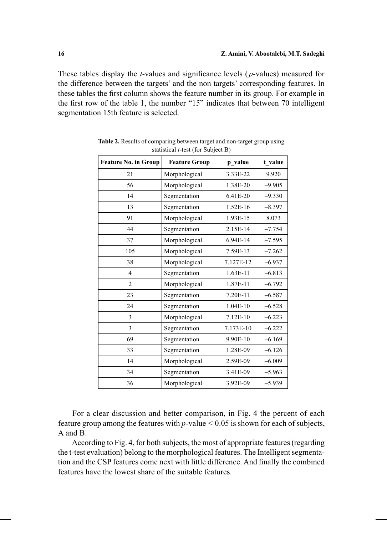These tables display the *t*-values and significance levels ( *p*-values) measured for the difference between the targets' and the non targets' corresponding features. In these tables the first column shows the feature number in its group. For example in the first row of the table 1, the number "15" indicates that between 70 intelligent segmentation 15th feature is selected.

| <b>Feature No. in Group</b><br><b>Feature Group</b> |               | p value   | t value  |
|-----------------------------------------------------|---------------|-----------|----------|
| 21                                                  | Morphological | 3.33E-22  | 9.920    |
| 56                                                  | Morphological | 1.38E-20  | $-9.905$ |
| 14                                                  | Segmentation  | 6.41E-20  | $-9.330$ |
| 13                                                  | Segmentation  | 1.52E-16  | $-8.397$ |
| 91                                                  | Morphological | 1.93E-15  | 8.073    |
| 44                                                  | Segmentation  | 2.15E-14  | $-7.754$ |
| 37                                                  | Morphological | 6.94E-14  | $-7.595$ |
| 105                                                 | Morphological | 7.59E-13  | $-7.262$ |
| 38                                                  | Morphological | 7.127E-12 | $-6.937$ |
| $\overline{4}$                                      | Segmentation  | 1.63E-11  | $-6.813$ |
| $\overline{c}$                                      | Morphological | 1.87E-11  | $-6.792$ |
| 23                                                  | Segmentation  | 7.20E-11  | $-6.587$ |
| 24                                                  | Segmentation  | 1.04E-10  | $-6.528$ |
| 3                                                   | Morphological | 7.12E-10  | $-6.223$ |
| 3                                                   | Segmentation  | 7.173E-10 | $-6.222$ |
| 69                                                  | Segmentation  | 9.90E-10  | $-6.169$ |
| 33                                                  | Segmentation  | 1.28E-09  | $-6.126$ |
| 14                                                  | Morphological | 2.59E-09  | $-6.009$ |
| 34                                                  | Segmentation  | 3.41E-09  | $-5.963$ |
| 36                                                  | Morphological | 3.92E-09  | $-5.939$ |

**Table 2.** Results of comparing between target and non-target group using statistical *t*-test (for Subject B)

 For a clear discussion and better comparison, in Fig. 4 the percent of each feature group among the features with *p*-value < 0.05 is shown for each of subjects, A and B.

 According to Fig. 4, for both subjects, the most of appropriate features (regarding the t-test evaluation) belong to the morphological features. The Intelligent segmentation and the CSP features come next with little difference. And finally the combined features have the lowest share of the suitable features.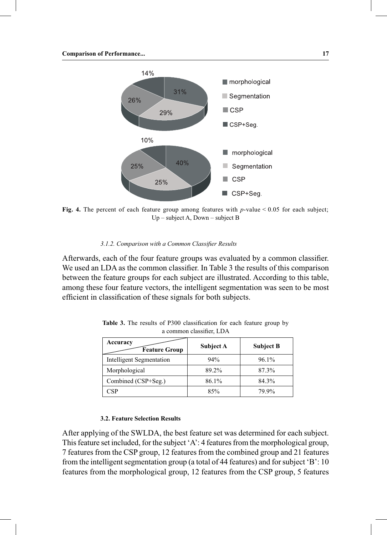

**Fig. 4.** The percent of each feature group among features with *p*-value < 0.05 for each subject; Up – subject A, Down – subject B

## *3.1.2. Comparison with a Common Classifier Results*

Afterwards, each of the four feature groups was evaluated by a common classifier. We used an LDA as the common classifier. In Table 3 the results of this comparison between the feature groups for each subject are illustrated. According to this table, among these four feature vectors, the intelligent segmentation was seen to be most efficient in classification of these signals for both subjects.

| Accuracy<br><b>Feature Group</b> | Subject A | <b>Subject B</b> |
|----------------------------------|-----------|------------------|
| <b>Intelligent Segmentation</b>  | 94%       | 96.1%            |
| Morphological                    | 89.2%     | 87.3%            |
| Combined (CSP+Seg.)              | 86.1%     | 84.3%            |
| ≅SP                              | 85%       | 79.9%            |

**Table 3.** The results of P300 classification for each feature group by a common classifier, LDA

## **3.2. Feature Selection Results**

After applying of the SWLDA, the best feature set was determined for each subject. This feature set included, for the subject 'A': 4 features from the morphological group, 7 features from the CSP group, 12 features from the combined group and 21 features from the intelligent segmentation group (a total of 44 features) and for subject 'B': 10 features from the morphological group, 12 features from the CSP group, 5 features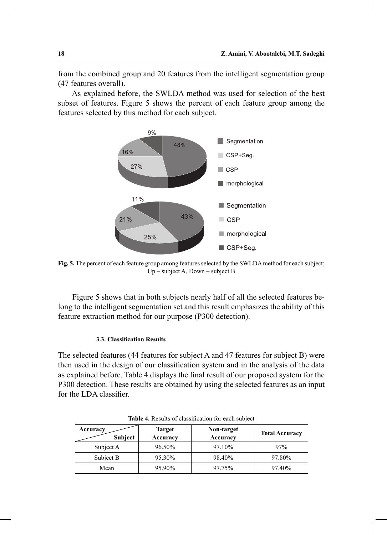from the combined group and 20 features from the intelligent segmentation group (47 features overall).

 As explained before, the SWLDA method was used for selection of the best subset of features. Figure 5 shows the percent of each feature group among the features selected by this method for each subject.



**Fig. 5.** The percent of each feature group among features selected by the SWLDA method for each subject; Up – subject A, Down – subject B

 Figure 5 shows that in both subjects nearly half of all the selected features belong to the intelligent segmentation set and this result emphasizes the ability of this feature extraction method for our purpose (P300 detection).

## **3.3. Classification Results**

The selected features (44 features for subject A and 47 features for subject B) were then used in the design of our classification system and in the analysis of the data as explained before. Table 4 displays the final result of our proposed system for the P300 detection. These results are obtained by using the selected features as an input for the LDA classifier.

| Accuracy<br>Subject | <b>Target</b><br>Accuracy | Non-target<br>Accuracy | <b>Total Accuracy</b> |
|---------------------|---------------------------|------------------------|-----------------------|
| Subject A           | 96.50%                    | 97.10%                 | 97%                   |
| Subject B           | 95.30%                    | 98.40%                 | 97.80%                |
| Mean                | 95.90%                    | 97.75%                 | 97.40%                |

**Table 4.** Results of classification for each subject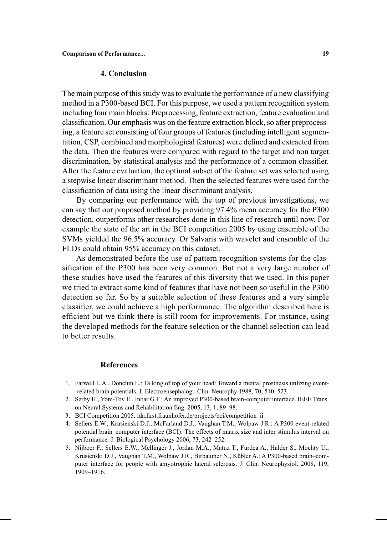# **4. Conclusion**

The main purpose of this study was to evaluate the performance of a new classifying method in a P300-based BCI. For this purpose, we used a pattern recognition system including four main blocks: Preprocessing, feature extraction, feature evaluation and classification. Our emphasis was on the feature extraction block, so after preprocessing, a feature set consisting of four groups of features (including intelligent segmentation, CSP, combined and morphological features) were defined and extracted from the data. Then the features were compared with regard to the target and non target discrimination, by statistical analysis and the performance of a common classifier. After the feature evaluation, the optimal subset of the feature set was selected using a stepwise linear discriminant method. Then the selected features were used for the classification of data using the linear discriminant analysis.

 By comparing our performance with the top of previous investigations, we can say that our proposed method by providing 97.4% mean accuracy for the P300 detection, outperforms other researches done in this line of research until now. For example the state of the art in the BCI competition 2005 by using ensemble of the SVMs yielded the 96.5% accuracy. Or Salvaris with wavelet and ensemble of the FLDs could obtain 95% accuracy on this dataset.

 As demonstrated before the use of pattern recognition systems for the classification of the P300 has been very common. But not a very large number of these studies have used the features of this diversity that we used. In this paper we tried to extract some kind of features that have not been so useful in the P300 detection so far. So by a suitable selection of these features and a very simple classifier, we could achieve a high performance. The algorithm described here is efficient but we think there is still room for improvements. For instance, using the developed methods for the feature selection or the channel selection can lead to better results.

## **References**

- 1. Farwell L.A., Donchin E.: Talking of top of your head: Toward a mental prosthesis utilizing event- -related brain potentials. J. Electroensephalogr. Clin. Neurophy 1988, 70, 510–523.
- 2. Serby H., Yom-Tov E., Inbar G.F.: An improved P300-based brain-computer interface. IEEE Trans. on Neural Systems and Rehabilitation Eng. 2005, 13, 1, 89–98.
- 3. BCI Competition 2005. ida.first.fraunhofer.de/projects/bci/competition\_ii
- 4. Sellers E.W., Krusienski D.J., McFarland D.J., Vaughan T.M., Wolpaw J.R.: A P300 event-related potential brain–computer interface (BCI): The effects of matrix size and inter stimulus interval on performance. J. Biological Psychology 2006, 73, 242–252.
- 5. Nijboer F., Sellers E.W., Mellinger J., Jordan M.A., Matuz T., Furdea A., Halder S., Mochty U., Krusienski D.J., Vaughan T.M., Wolpaw J.R., Birbaumer N., Kübler A.: A P300-based brain–computer interface for people with amyotrophic lateral sclerosis. J. Clin. Neurophysiol. 2008, 119, 1909–1916.